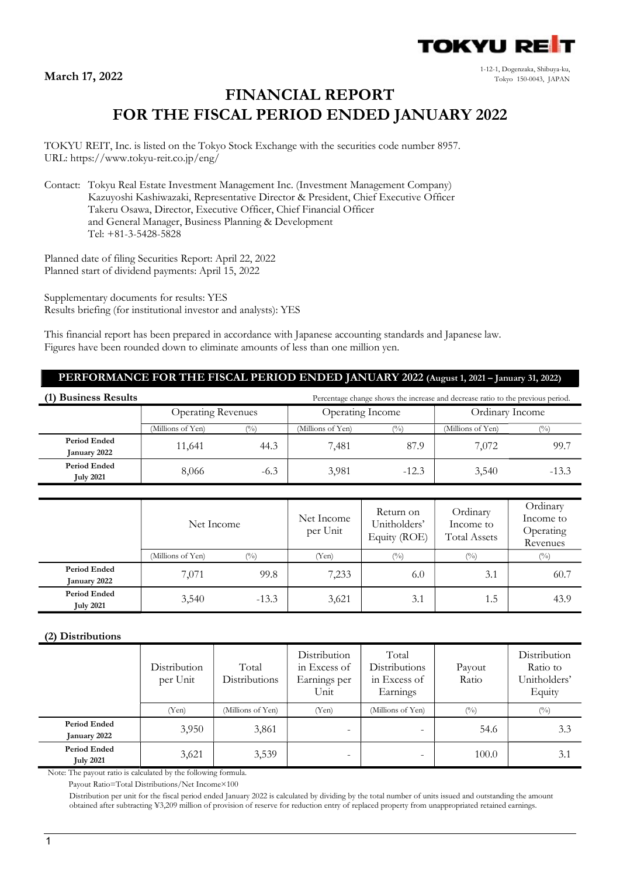

1-12-1, Dogenzaka, Shibuya-ku, Tokyo 150-0043, JAPAN 17, 2022

# FINANCIAL REPORT FOR THE FISCAL PERIOD ENDED JANUARY 2022

TOKYU REIT, Inc. is listed on the Tokyo Stock Exchange with the securities code number 8957. URL: https://www.tokyu-reit.co.jp/eng/

Contact: Tokyu Real Estate Investment Management Inc. (Investment Management Company) Kazuyoshi Kashiwazaki, Representative Director & President, Chief Executive Officer Takeru Osawa, Director, Executive Officer, Chief Financial Officer and General Manager, Business Planning & Development Tel: +81-3-5428-5828

Planned date of filing Securities Report: April 22, 2022 Planned start of dividend payments: April 15, 2022

Supplementary documents for results: YES Results briefing (for institutional investor and analysts): YES

This financial report has been prepared in accordance with Japanese accounting standards and Japanese law. Figures have been rounded down to eliminate amounts of less than one million yen.

# PERFORMANCE FOR THE FISCAL PERIOD ENDED JANUARY 2022 (August 1, 2021 – January 31, 2022)

| (1) Business Results                    | Percentage change shows the increase and decrease ratio to the previous period. |               |                   |         |                   |               |  |
|-----------------------------------------|---------------------------------------------------------------------------------|---------------|-------------------|---------|-------------------|---------------|--|
|                                         | <b>Operating Revenues</b>                                                       |               | Operating Income  |         | Ordinary Income   |               |  |
|                                         | (Millions of Yen)                                                               | $\frac{9}{0}$ | (Millions of Yen) |         | (Millions of Yen) | $\frac{1}{2}$ |  |
| <b>Period Ended</b><br>January 2022     | 11,641                                                                          | 44.3          | 7.481             | 87.9    | 7.072             | 99.7          |  |
| <b>Period Ended</b><br><b>July 2021</b> | 8,066                                                                           | $-6.3$        | 3,981             | $-12.3$ | 3,540             | $-13.3$       |  |

|                                  | Net Income        |                            | Net Income<br>per Unit | Return on<br>Unitholders'<br>Equity (ROE) | Ordinary<br>Income to<br><b>Total Assets</b> | Ordinary<br>Income to<br>Operating<br>Revenues |
|----------------------------------|-------------------|----------------------------|------------------------|-------------------------------------------|----------------------------------------------|------------------------------------------------|
|                                  | (Millions of Yen) | $\left(\frac{0}{0}\right)$ | (Yen)                  | (0/0)                                     | $(\%)$                                       | (0/0)                                          |
| Period Ended<br>January 2022     | 7,071             | 99.8                       | 7,233                  | 6.0                                       | 3.1                                          | 60.7                                           |
| Period Ended<br><b>July 2021</b> | 3,540             | $-13.3$                    | 3,621                  | 3.1                                       | 1.5                                          | 43.9                                           |

## (2) Distributions

|                                         | Distribution<br>per Unit | Total<br>Distributions | Distribution<br>in Excess of<br>Earnings per<br>Unit | Total<br>Distributions<br>in Excess of<br>Earnings | Payout<br>Ratio | Distribution<br>Ratio to<br>Unitholders'<br>Equity |
|-----------------------------------------|--------------------------|------------------------|------------------------------------------------------|----------------------------------------------------|-----------------|----------------------------------------------------|
|                                         | (Yen)                    | (Millions of Yen)      | (Yen)                                                | (Millions of Yen)                                  | $(^{0}_{0})$    | $(^{0}_{0})$                                       |
| <b>Period Ended</b><br>January 2022     | 3,950                    | 3,861                  |                                                      |                                                    | 54.6            | 3.3                                                |
| <b>Period Ended</b><br><b>July 2021</b> | 3,621                    | 3,539                  | $\overline{\phantom{a}}$                             | $\overline{\phantom{0}}$                           | 100.0           | 3.1                                                |

Note: The payout ratio is calculated by the following formula.

Payout Ratio=Total Distributions/Net Income×100

Distribution per unit for the fiscal period ended January 2022 is calculated by dividing by the total number of units issued and outstanding the amount obtained after subtracting ¥3,209 million of provision of reserve for reduction entry of replaced property from unappropriated retained earnings.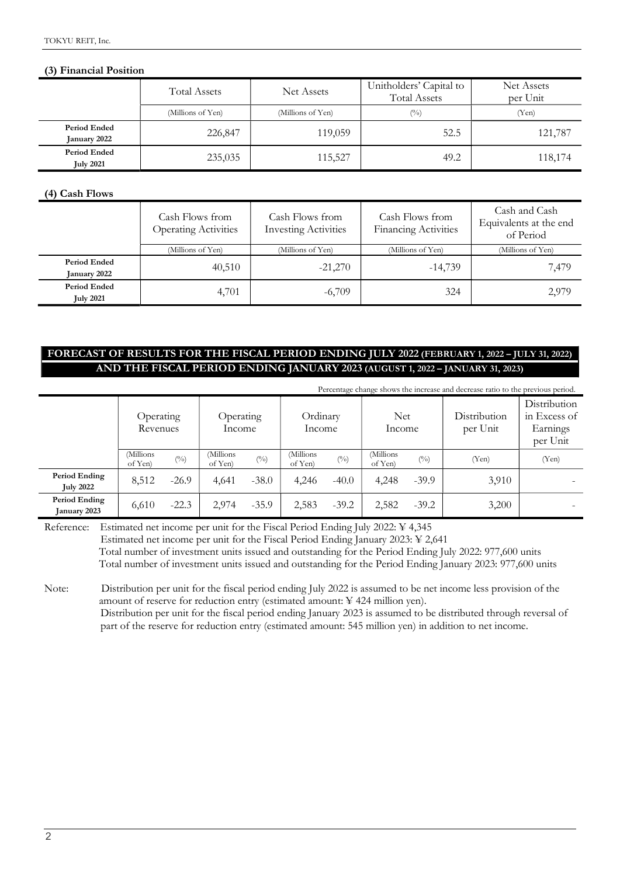### (3) Financial Position

|                                         | Total Assets      | Net Assets        | Unitholders' Capital to<br><b>Total Assets</b> | Net Assets<br>per Unit |  |
|-----------------------------------------|-------------------|-------------------|------------------------------------------------|------------------------|--|
|                                         | (Millions of Yen) | (Millions of Yen) | $(^{0}_{0})$                                   | (Yen)                  |  |
| Period Ended<br>January 2022            | 226,847           | 119,059           | 52.5                                           | 121,787                |  |
| <b>Period Ended</b><br><b>July 2021</b> | 235,035           | 115,527           | 49.2                                           | 118,174                |  |

#### (4) Cash Flows

|                                         | Cash Flows from<br><b>Operating Activities</b> | Cash Flows from<br><b>Investing Activities</b> | Cash Flows from<br><b>Financing Activities</b> | Cash and Cash<br>Equivalents at the end<br>of Period |
|-----------------------------------------|------------------------------------------------|------------------------------------------------|------------------------------------------------|------------------------------------------------------|
|                                         | (Millions of Yen)                              | (Millions of Yen)                              | (Millions of Yen)                              | (Millions of Yen)                                    |
| <b>Period Ended</b><br>January 2022     | 40,510                                         | $-21,270$                                      | $-14,739$                                      | 7,479                                                |
| <b>Period Ended</b><br><b>July 2021</b> | 4,701                                          | $-6,709$                                       | 324                                            | 2,979                                                |

# FORECAST OF RESULTS FOR THE FISCAL PERIOD ENDING JULY 2022 (FEBRUARY 1, 2022 – JULY 31, 2022) AND THE FISCAL PERIOD ENDING JANUARY 2023 (AUGUST 1, 2022 – JANUARY 31, 2023)

|                                   | Percentage change shows the increase and decrease ratio to the previous period. |                              |                      |                              |                     |                              |                      |              |                          |                                                      |
|-----------------------------------|---------------------------------------------------------------------------------|------------------------------|----------------------|------------------------------|---------------------|------------------------------|----------------------|--------------|--------------------------|------------------------------------------------------|
|                                   | Operating<br>Revenues                                                           |                              | Operating<br>Income  |                              | Ordinary<br>Income  |                              | <b>Net</b><br>Income |              | Distribution<br>per Unit | Distribution<br>in Excess of<br>Earnings<br>per Unit |
|                                   | Millions)<br>of Yen)                                                            | $\left(^{0}\!/_{\!0}\right)$ | (Millions<br>of Yen) | $\left(^{0}\!/_{\!0}\right)$ | Millions<br>of Yen) | $\left(^{0}\!/_{\!0}\right)$ | (Millions<br>of Yen) | $(^{0}_{0})$ | (Yen)                    | (Yen)                                                |
| Period Ending<br><b>July 2022</b> | 8,512                                                                           | $-26.9$                      | 4,641                | $-38.0$                      | 4,246               | $-40.0$                      | 4,248                | $-39.9$      | 3,910                    |                                                      |
| Period Ending<br>January 2023     | 6,610                                                                           | $-22.3$                      | 2,974                | $-35.9$                      | 2,583               | $-39.2$                      | 2,582                | $-39.2$      | 3,200                    |                                                      |

Reference: Estimated net income per unit for the Fiscal Period Ending July 2022: ¥ 4,345 Estimated net income per unit for the Fiscal Period Ending January 2023: ¥ 2,641 Total number of investment units issued and outstanding for the Period Ending July 2022: 977,600 units Total number of investment units issued and outstanding for the Period Ending January 2023: 977,600 units

Note: Distribution per unit for the fiscal period ending July 2022 is assumed to be net income less provision of the amount of reserve for reduction entry (estimated amount: ¥ 424 million yen). Distribution per unit for the fiscal period ending January 2023 is assumed to be distributed through reversal of part of the reserve for reduction entry (estimated amount: 545 million yen) in addition to net income.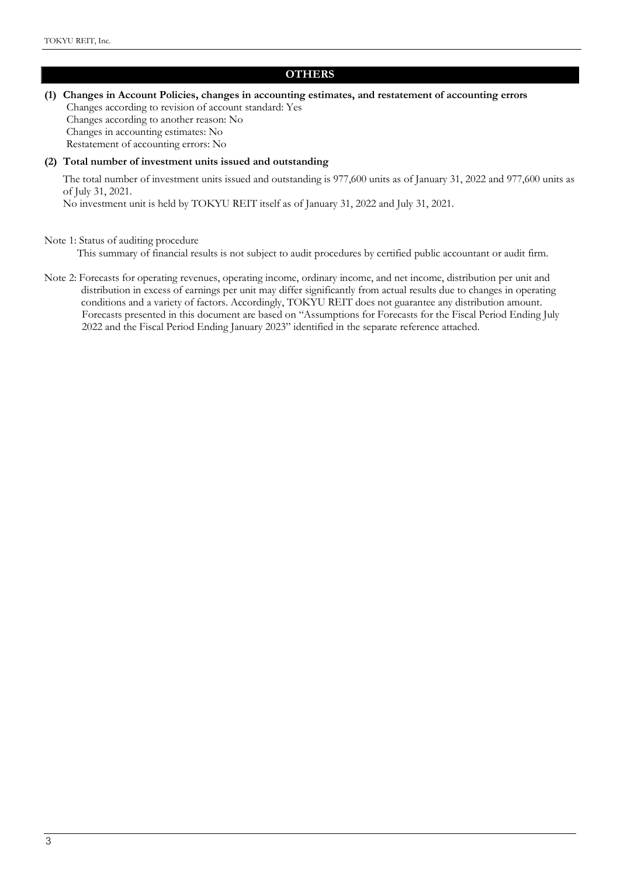# **OTHERS**

(1) Changes in Account Policies, changes in accounting estimates, and restatement of accounting errors Changes according to revision of account standard: Yes Changes according to another reason: No Changes in accounting estimates: No Restatement of accounting errors: No

#### (2) Total number of investment units issued and outstanding

The total number of investment units issued and outstanding is 977,600 units as of January 31, 2022 and 977,600 units as of July 31, 2021.

No investment unit is held by TOKYU REIT itself as of January 31, 2022 and July 31, 2021.

#### Note 1: Status of auditing procedure

This summary of financial results is not subject to audit procedures by certified public accountant or audit firm.

Note 2: Forecasts for operating revenues, operating income, ordinary income, and net income, distribution per unit and distribution in excess of earnings per unit may differ significantly from actual results due to changes in operating conditions and a variety of factors. Accordingly, TOKYU REIT does not guarantee any distribution amount. Forecasts presented in this document are based on "Assumptions for Forecasts for the Fiscal Period Ending July 2022 and the Fiscal Period Ending January 2023" identified in the separate reference attached.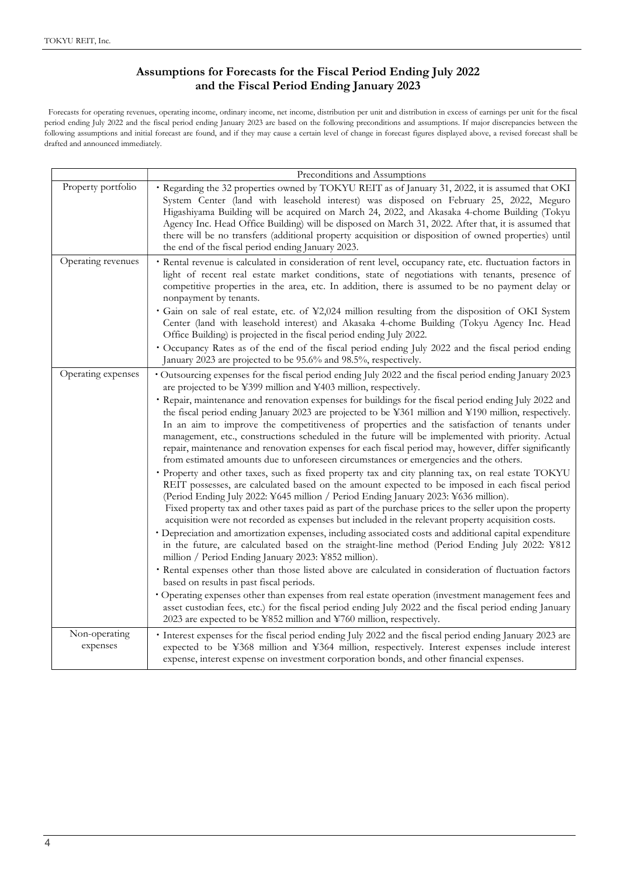# Assumptions for Forecasts for the Fiscal Period Ending July 2022 and the Fiscal Period Ending January 2023

Forecasts for operating revenues, operating income, ordinary income, net income, distribution per unit and distribution in excess of earnings per unit for the fiscal period ending July 2022 and the fiscal period ending January 2023 are based on the following preconditions and assumptions. If major discrepancies between the following assumptions and initial forecast are found, and if they may cause a certain level of change in forecast figures displayed above, a revised forecast shall be drafted and announced immediately.

|                           | Preconditions and Assumptions                                                                                                                                                                                                                                                                                                                                                                                                                                                                                                                                                                                                                                                                                                                                                                                                                                                                                                                                                                                                                                                                                                                                                                                                                                                                                                                                                                                                                                                                                                                                                                                                                                                                                                                                                                                                                                                                                                                                                                                                             |
|---------------------------|-------------------------------------------------------------------------------------------------------------------------------------------------------------------------------------------------------------------------------------------------------------------------------------------------------------------------------------------------------------------------------------------------------------------------------------------------------------------------------------------------------------------------------------------------------------------------------------------------------------------------------------------------------------------------------------------------------------------------------------------------------------------------------------------------------------------------------------------------------------------------------------------------------------------------------------------------------------------------------------------------------------------------------------------------------------------------------------------------------------------------------------------------------------------------------------------------------------------------------------------------------------------------------------------------------------------------------------------------------------------------------------------------------------------------------------------------------------------------------------------------------------------------------------------------------------------------------------------------------------------------------------------------------------------------------------------------------------------------------------------------------------------------------------------------------------------------------------------------------------------------------------------------------------------------------------------------------------------------------------------------------------------------------------------|
| Property portfolio        | Regarding the 32 properties owned by TOKYU REIT as of January 31, 2022, it is assumed that OKI<br>System Center (land with leasehold interest) was disposed on February 25, 2022, Meguro<br>Higashiyama Building will be acquired on March 24, 2022, and Akasaka 4-chome Building (Tokyu<br>Agency Inc. Head Office Building) will be disposed on March 31, 2022. After that, it is assumed that<br>there will be no transfers (additional property acquisition or disposition of owned properties) until<br>the end of the fiscal period ending January 2023.                                                                                                                                                                                                                                                                                                                                                                                                                                                                                                                                                                                                                                                                                                                                                                                                                                                                                                                                                                                                                                                                                                                                                                                                                                                                                                                                                                                                                                                                            |
| Operating revenues        | · Rental revenue is calculated in consideration of rent level, occupancy rate, etc. fluctuation factors in<br>light of recent real estate market conditions, state of negotiations with tenants, presence of<br>competitive properties in the area, etc. In addition, there is assumed to be no payment delay or<br>nonpayment by tenants.<br>• Gain on sale of real estate, etc. of ¥2,024 million resulting from the disposition of OKI System<br>Center (land with leasehold interest) and Akasaka 4-chome Building (Tokyu Agency Inc. Head<br>Office Building) is projected in the fiscal period ending July 2022.<br>• Occupancy Rates as of the end of the fiscal period ending July 2022 and the fiscal period ending<br>January 2023 are projected to be 95.6% and 98.5%, respectively.                                                                                                                                                                                                                                                                                                                                                                                                                                                                                                                                                                                                                                                                                                                                                                                                                                                                                                                                                                                                                                                                                                                                                                                                                                           |
| Operating expenses        | Outsourcing expenses for the fiscal period ending July 2022 and the fiscal period ending January 2023<br>are projected to be ¥399 million and ¥403 million, respectively.<br>• Repair, maintenance and renovation expenses for buildings for the fiscal period ending July 2022 and<br>the fiscal period ending January 2023 are projected to be ¥361 million and ¥190 million, respectively.<br>In an aim to improve the competitiveness of properties and the satisfaction of tenants under<br>management, etc., constructions scheduled in the future will be implemented with priority. Actual<br>repair, maintenance and renovation expenses for each fiscal period may, however, differ significantly<br>from estimated amounts due to unforeseen circumstances or emergencies and the others.<br>· Property and other taxes, such as fixed property tax and city planning tax, on real estate TOKYU<br>REIT possesses, are calculated based on the amount expected to be imposed in each fiscal period<br>(Period Ending July 2022: ¥645 million / Period Ending January 2023: ¥636 million).<br>Fixed property tax and other taxes paid as part of the purchase prices to the seller upon the property<br>acquisition were not recorded as expenses but included in the relevant property acquisition costs.<br>· Depreciation and amortization expenses, including associated costs and additional capital expenditure<br>in the future, are calculated based on the straight-line method (Period Ending July 2022: ¥812<br>million / Period Ending January 2023: ¥852 million).<br>• Rental expenses other than those listed above are calculated in consideration of fluctuation factors<br>based on results in past fiscal periods.<br>• Operating expenses other than expenses from real estate operation (investment management fees and<br>asset custodian fees, etc.) for the fiscal period ending July 2022 and the fiscal period ending January<br>2023 are expected to be ¥852 million and ¥760 million, respectively. |
| Non-operating<br>expenses | • Interest expenses for the fiscal period ending July 2022 and the fiscal period ending January 2023 are<br>expected to be ¥368 million and ¥364 million, respectively. Interest expenses include interest<br>expense, interest expense on investment corporation bonds, and other financial expenses.                                                                                                                                                                                                                                                                                                                                                                                                                                                                                                                                                                                                                                                                                                                                                                                                                                                                                                                                                                                                                                                                                                                                                                                                                                                                                                                                                                                                                                                                                                                                                                                                                                                                                                                                    |